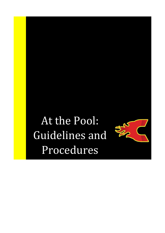# At the Pool: Guidelines and Procedures

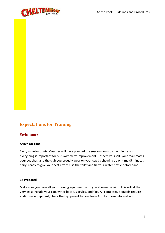

# **Expectations for Training**

# **Swimmers**

#### **Arrive On Time**

Every minute counts! Coaches will have planned the session down to the minute and everything is important for our swimmers' improvement. Respect yourself, your teammates, your coaches, and the club you proudly wear on your cap by showing up on time (5 minutes early) ready to give your best effort. Use the toilet and fill your water bottle beforehand.

#### **Be Prepared**

Make sure you have all your training equipment with you at every session. This will at the very least include your cap, water bottle, goggles, and fins. All competitive squads require additional equipment; check the Equipment List on Team App for more information.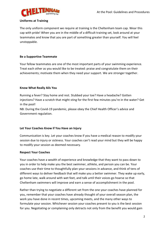# **Uniforms at Training**

The only uniform component we require at training is the Cheltenham team cap. Wear this cap with pride! When you are in the middle of a difficult training set, look around at your teammates and know that you are part of something greater than yourself. You will feel unstoppable.

# **Be a Supportive Teammate**

Your fellow teammates are one of the most important parts of your swimming experience. Treat each other as you would like to be treated: praise and congratulate them on their achievements; motivate them when they need your support. We are stronger together.

# **Know What Really Ails You**

Running a fever? Stay home and rest. Stubbed your toe? Have a headache? Gotten injections? Have a scratch that might sting for the first few minutes you're in the water? Get in the pool!

NB: During the Covid-19 pandemic, please obey the Chief Health Officer's advice and Government regulation.

# **Let Your Coaches Know if You Have an Injury**

Communication is key. Let your coaches know if you have a medical reason to modify your session due to injury or sickness. Your coaches can't read your mind but they will be happy to modify your session as deemed necessary.

# **Respect Your Coaches**

Your coaches have a wealth of experience and knowledge that they want to pass down to you in order to help make you the best swimmer, athlete, and person you can be. Your coaches use their time to thoughtfully plan your sessions in advance, and think of tens of different ways to deliver feedback that will make you a better swimmer. They wake up early, go home late, walk around with wet feet, and talk until their voices go hoarse so that Cheltenham swimmers will improve and earn a sense of accomplishment in the pool.

Rather than trying to negotiate a different set from the one your coaches have planned for you, remember that your coaches have already thought of your overall season plan, the work you have done in recent times, upcoming meets, and the many other ways to formulate your session. Whichever session your coaches present to you is the best session for you. Negotiating or complaining only detracts not only from the benefit you would gain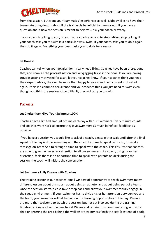

from the session, but from your teammates' experiences as well. Nobody likes to have their teammate bring doubts about if the training is beneficial to them or not. If you have a question about how the session is meant to help you, ask your coach privately.

If your coach is talking to you, listen. If your coach asks you to stop talking, stop talking. If your coach asks you to swim in a particular way, swim. If your coach asks you to do it again, then do it again. Everything your coach asks you to do is for a reason.

# **Be Honest**

Coaches can tell when your goggles don't really need fixing. Coaches have been there, done that, and know all the procrastination and lollygagging tricks in the book. If you are having trouble getting motivated for a set, let your coaches know. If your coaches think you need their expert advice, they will be more than happy to give it and help you get motivated again. If this is a common occurrence and your coaches think you just need to swim even though you think the session is too difficult, they will tell you to swim.

# **Parents**

# **Let Cheltenham Give Your Swimmer 100%**

Coaches have a limited amount of time each day with our swimmers. Every minute counts and coaches work hard to ensure they give swimmers as much beneficial feedback as possible.

If you have a question you would like to ask of a coach, please either wait until after the final squad of the day is done swimming and the coach has time to speak with you, or send a message on Team App to arrange a time to speak with the coach. This ensures that coaches are able to give the necessary attention to all our swimmers. If a coach, using his or her discretion, feels there is an opportune time to speak with parents on deck during the session, the coach will initiate the conversation.

# **Let Swimmers Fully Engage with Coaches**

The training session is our coaches' small window of opportunity to teach swimmers many different lessons about this sport, about being an athlete, and about being part of a team. Once the session starts, please take a step back and allow your swimmer to fully engage in the squad environment. If your swimmer has to divide his or her attention between you and the team, your swimmer will fall behind on the learning opportunities of the day. Parents are more than welcome to watch the session, but not get involved during the training timeframe. Please sit on the benches at Waves and refrain from communicating with your child or entering the area behind the wall where swimmers finish the sets (east end of pool).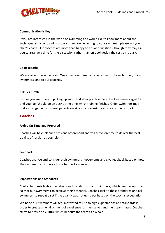

## **Communication is Key**

If you are interested in the world of swimming and would like to know more about the technique, skills, or training programs we are delivering to your swimmer, please ask your child's coach. Our coaches are more than happy to answer questions, though they may ask you to arrange a time for the discussion rather than on pool deck if the session is busy.

#### **Be Respectful**

We are all on the same team. We expect our parents to be respectful to each other, to our swimmers, and to our coaches.

#### **Pick-Up Times**

Ensure you are timely in picking up your child after practice. Parents of swimmers aged 12 and younger should be on deck at the time which training finishes. Older swimmers may make arrangements to meet parents outside at a predesignated area of the car park.

# **Coaches**

# **Arrive On Time and Prepared**

Coaches will have planned sessions beforehand and will arrive on time to deliver the best quality of session as possible.

#### **Feedback**

Coaches analyze and consider their swimmers' movements and give feedback based on how the swimmer can improve his or her performance.

# **Expectations and Standards**

Cheltenham sets high expectations and standards of our swimmers, which coaches enforce so that our swimmers can achieve their potential. Coaches stick to these standards and ask swimmers to repeat a set if the quality was not up to par based on the coach's expectation.

We hope our swimmers will feel motivated to rise to high expectations and standards in order to create an environment of excellence for themselves and their teammates. Coaches strive to provide a culture which benefits the team as a whole.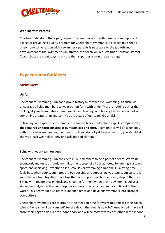

#### **Working with Parents**

Coaches understand that open, respectful communication with parents is an important aspect of providing a quality program for Cheltenham swimmers. If a coach feels that a oneon-one conversation with a swimmer's parents is necessary to the growth and development of the swimmer as an athlete, the coach will request this discussion. Parent-Coach chats are great ways to ensure that all parties are on the same page.

# **Expectations for Meets**

# **Swimmers**

#### **Uniform**

Cheltenham Swimming Club has a proud history in competitive swimming. As such, we encourage all club members to wear our uniform with pride. There is nothing better than looking at your teammates at swim meets and training, and feeling like you are a part of something greater than yourself. You are a part of our team. Go Chelt!

In training, we expect our swimmers to wear the black Cheltenham cap. **At competitions, the required uniform consists of our team cap and shirt.** Team photos will be taken only with those who are wearing their uniform. If you do not yet have a uniform, you should at the very least wear black-only or black and red clothing.

#### **Being with your team on deck**

Cheltenham Swimming Club considers all our members to be a part of a team. We value teamwork and unity as fundamental to the success of all our athletes. Swimming is a team sport, and achieving  $-$  whether it is a small PB or swimming a National Qualifying time  $$ feels best when your teammates are by your side and supporting you. Our team culture is such that we train together, race together, and support each other every step of the way. Sitting with teammates on deck and cheering for them when they're swimming builds a strong team dynamic that will help our swimmers be faster and more confident in the water. This behaviour also teaches independence and develops swimmers into stronger competitors.

Cheltenham swimmers are to arrive at the meet on time for warm-ups and ask their coach where the team will be "camped" for the day. If the meet is at MSAC, usually swimmers will store their bags on deck at the indoor pool and will be mostly with each other in the indoor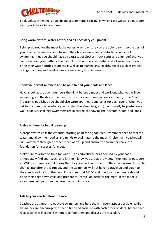

pool, unless the meet is outside and a teammate is racing, in which case we will go outdoors to support the racing swimmer.

## **Bring warm clothes, water bottle, and all necessary equipment**

Being prepared for the meet is the easiest way to ensure you are able to swim to the best of your ability. Swimmers need to keep their bodies warm and comfortable while not swimming, thus you should have an extra set of clothes (track pants and a jumper) that you can wear over your bathers at a meet. Hydration is also essential and all swimmers should bring their water bottles to meets as well as to marshalling. Healthy snacks such as grapes, oranges, apples, and sandwiches are necessary at swim meets.

# **Know your event numbers and be able to find your heats and lanes**

Have a look at the event numbers the night before a meet and work out what you will be swimming. On the day of the meet, write your event numbers on your hand; if the Meet Program is published you should also write your heats and lanes for each event. When you get to the meet, know where you can find the Meet Program (it will usually be posted on a wall, near Marshalling). Swimmers are in charge of knowing their events, heats, and lanes.

# **Arrive on time for initial warm up**

A proper warm up is the essential starting point for a good race. Swimmers need to feel the water and allow their bodies and minds to acclimate to the meet. Cheltenham coaches will run swimmers through a proper meet warm-up and ensure the swimmers have the foundation for a successful meet.

Make sure to arrive on time for warm-up as advertised (or as advised by your coach). Immediately find your coach and let them know you are at the meet. If the meet is outdoors at MSAC, swimmers should bring their bags on deck with them so they have warm clothes to change into after the warm up, and the swimmers will not have to travel up and down to the stands and back to the pool. If the meet is at MSAC and is indoors, swimmers should bring their bags downstairs and prepare to "camp" on deck for the meet; if the meet is elsewhere, ask your coach where the camping area is.

# **Talk to your coach before the race**

Coaches are at meets to educate swimmers and help them in every aspect possible. While swimmers are encouraged to spend time and socialise with each other on deck, before each race coaches will expect swimmers to find them and discuss the race plan.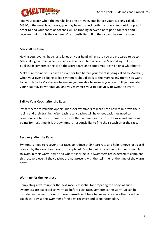

Find your coach when the marshalling one or two events before yours is being called. At MSAC, if the meet is outdoors, you may have to check both the indoor and outdoor pool in order to find your coach as coaches will be running between both pools for races and recovery swims. It is the swimmers' responsibility to find their coach before the race.

## **Marshall on Time**

Having your events, heats, and lanes on your hand will ensure you are prepared to go to Marshalling on time. When you arrive at a meet, find where the Marshalling will be published; sometimes this is on the scoreboard and sometimes it can be on a whiteboard.

Make sure to find your coach an event or two before your event is being called to Marshall; when your event is being called swimmers should walk to the Marshalling room. You want to be on time to Marshalling to ensure you are able to swim in your event. If you are late, your heat may go without you and you may miss your opportunity to swim the event.

#### **Talk to Your Coach after the Race**

Swim meets are valuable opportunities for swimmers to learn both how to improve their racing and their training. After each race, coaches will have feedback they need to communicate to the swimmer to ensure the swimmer learns from the race and has focus points for next time. It is the swimmers' responsibility to find their coach after the race.

#### **Recovery after the Race**

Swimmers need to recover after races to reduce their heart rate and help remove lactic acid created by the race they have just completed. Coaches will advise the swimmer of how far to swim in their warm-down and what to include in it. Swimmers are expected to complete this recovery even if the coaches are not present with the swimmer at the time of the warmdown.

#### **Warm up for the next race**

Completing a warm-up for the next race is essential for preparing the body; as such swimmers are expected to warm up before each race. Sometimes the warm-up can be included in the warm-down if there is insufficient time between races; in either case the coach will advise the swimmer of the best recovery and preparation plan.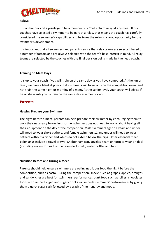

#### **Relays**

It is an honour and a privilege to be a member of a Cheltenham relay at any meet. If our coaches have selected a swimmer to be part of a relay, that means the coach has carefully considered the swimmer's capabilities and believes the relay is a good opportunity for the swimmer's development.

It is important that all swimmers and parents realise that relay teams are selected based on a number of factors and are always selected with the team's best interest in mind. All relay teams are selected by the coaches with the final decision being made by the head coach.

# **Training on Meet Days**

It is up to your coach if you will train on the same day as you have competed. At the junior level, we have a blanket policy that swimmers will focus only on the competition event and not train the same night or morning of a meet. At the senior level, your coach will advise if he or she wants you to train on the same day as a meet or not.

# **Parents**

# **Helping Prepare your Swimmer**

The night before a meet, parents can help prepare their swimmer by encouraging them to pack their necessary belongings so the swimmer does not need to worry about having all their equipment on the day of the competition. Male swimmers aged 11 years and under will need to wear short bathers, and female swimmers 11 and under will need to wear bathers without a zipper and which do not extend below the hips. Other essential meet belongings include a towel or two, Cheltenham cap, goggles, team uniform to wear on deck (including warm clothes like the team deck coat), water bottle, and food.

# **Nutrition Before and During a Meet**

Parents should help ensure swimmers are eating nutritious food the night before the competition, such as pasta. During the competition, snacks such as grapes, apples, oranges, and sandwiches are best for swimmers' performances. Junk food such as lollies, chocolates, foods with refined sugar, and sugary drinks will impede swimmers' performances by giving them a quick sugar rush followed by a crash of their energy and mood.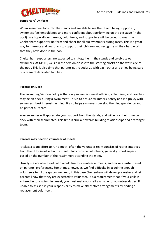# **Supporters' Uniform**

When swimmers look into the stands and are able to see their team being supported, swimmers feel emboldened and more confident about performing on the big stage (in the pool). We hope all our parents, volunteers, and supporters will be proud to wear the Cheltenham supporter uniform and cheer for all our swimmers during races. This is a great way for parents and guardians to support their children and recognize all their hard work that they have done in the pool.

Cheltenham supporters are expected to sit together in the stands and celebrate our swimmers. At MSAC, we sit in the section closest to the starting blocks on the west side of the pool. This is also time that parents get to socialize with each other and enjoy being part of a team of dedicated families.

# **Parents on Deck**

The Swimming Victoria policy is that only swimmers, meet officials, volunteers, and coaches may be on deck during a swim meet. This is to ensure swimmers' safety and is a policy with swimmers' best interests in mind. It also helps swimmers develop their independence and be part of our team.

Your swimmer will appreciate your support from the stands, and will enjoy their time on deck with their teammates. This time is crucial towards building relationships and a stronger team.

# **Parents may need to volunteer at meets**

It takes a team effort to run a meet; often the volunteer team consists of representatives from the clubs involved in the meet. Clubs provide volunteers, generally time-keepers, based on the number of their swimmers attending the meet.

Usually we are able to ask who would like to volunteer at meets, and make a roster based on parents' preferences. Sometimes, however, we find difficulty in acquiring enough volunteers to fill the spaces we need; in this case Cheltenham will develop a roster and let parents know that they are expected to volunteer. It is a requirement that if your child is entered in to a swimming meet, you must make yourself available for volunteer duties. If unable to assist it is your responsibility to make alternative arrangements by finding a replacement volunteer.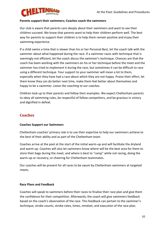

# **Parents support their swimmers; Coaches coach the swimmers**

Our club is aware that parents care deeply about their swimmers and want to see their children succeed. We know that parents want to help their children perform well. The best way for parents to support their children is to help them remain positive and enjoy their swimming experience.

If a child swims a time that is slower than his or her Personal Best, let the coach talk with the swimmer about what happened during the race. If a swimmer races with technique that is seemingly not efficient, let the coach discus the swimmer's technique. Chances are that the coach has been working with the swimmers on his or her technique before the meet and the swimmer has tried to implement it during the race, but sometimes it can be difficult to race using a different technique. Your support to your swimmer will mean a lot to them, especially when they have had a race about which they are not happy. Praise their effort, let them know they can do better next time, make them feel better about themselves and happy to be a swimmer. *Leave the coaching to our coaches*.

Children look up to their parents and follow their examples. We expect Cheltenham parents to obey all swimming rules, be respectful of fellow competitors, and be gracious in victory and dignified in defeat.

# **Coaches**

# **Coaches Support our Swimmers**

Cheltenham coaches' primary role is to use their expertise to help our swimmers achieve to the best of their ability and as part of the Cheltenham team.

Coaches arrive at the pool at the start of the initial warm-up and will facilitate the dryland and warm-up. Coaches will also let swimmers know where will be the best area for them to store their bags during the meet, and where is best to "camp" while not racing, doing the warm-up or recovery, or cheering for Cheltenham teammates.

Our coaches will be present for all races to be swum by Cheltenham swimmers at targeted meets.

# **Race Plans and Feedback**

Coaches will speak to swimmers before their races to finalise their race plan and give them the confidence for their competition. Afterwards, the coach will give swimmers feedback based on the coach's observation of the race. This feedback can pertain to the swimmer's technique, stroke counts, stroke rates, times, mindset, and execution of the race plan.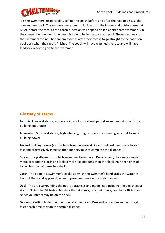

It is the swimmers' responsibility to find the coach before and after the race to discuss the plan and feedback. The swimmer may need to look in both the indoor and outdoor areas at MSAC before the race, as the coach's location will depend on if a Cheltenham swimmer is in the competition pool or if the coach is able to be in the warm-up pool. The easiest way for the swimmers to find Cheltenham coaches after their race is to go straight to the coach on pool deck when the race is finished. The coach will have watched the race and will have feedback ready to give to the swimmer.

# **Glossary of Terms**

**Aerobic:** Longer distance, moderate intensity, short rest period swimming sets that focus on building endurance

**Anaerobic:** Shorter distance, high intensity, long rest period swimming sets that focus on building power

**Ascend:** Getting slower (i.e. the time taken increases). Ascend sets ask swimmers to start fast and progressively increase the time they take to complete the distance.

**Blocks:** The platform from which swimmers begin races. Decades ago, they were simple metal or wooden blocks and looked more like podiums than the sleek, high-tech ones of today, but the old name has stuck.

**Catch:** The point in a swimmer's stroke at which the swimmer's hand grabs the water in front of them and applies downward pressure to move the body forward.

**Deck:** The area surrounding the pool at practices and meets, not including the bleachers or stands. Swimming Victoria rules state that at meets, only swimmers, coaches, officials and select volunteers may be on the deck.

**Descend:** Getting faster (i.e. the time taken reduces). Descend sets ask swimmers to get faster each time they do the certain distance.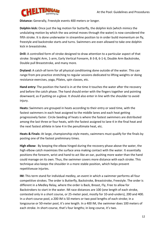

**Distance:** Generally, Freestyle events 400 meters or longer.

**Dolphin kick:** Once just the leg motion for butterfly, the dolphin kick (which mimics the undulating motion by which the sea animal moves through the water) is now considered the fifth stroke. It is done underwater in streamline position to in order build momentum on fly, freestyle and backstroke starts and turns. Swimmers are even allowed to take one dolphin kick in breaststroke.

**Drill:** A controlled form of stroke designed to draw attention to a particular aspect of that stroke: Straight Arm, 1-arm, Early Vertical Forearm, 8-3-8, 6-1-6, Double Arm Backstroke, Double pull Breaststroke, and many more.

**Dryland:** A catch-all term for all physical conditioning done outside of the water. This can range from pre-practice stretching to regular sessions dedicated to lifting weights or doing resistance exercises, yoga, Pilates, spin classes, etc.

**Hand entry:** The position the hand is in at the time it touches the water after the recovery and before the catch phase. The hand should enter with the fingers together and pointing downward, as if putting on a glove. It should also enter in line with the shoulder to avoid injury.

**Heats:** Swimmers are grouped in heats according to their entry or seed time, with the fastest swimmers in each heat assigned to the middle lanes and each heat getting progressively faster. Circle-Seeding of heats is where the fastest swimmers are distributed among the last three or four heats, with the fastest assigned to lane 4 in the final heat and the next fastest athlete in lane 4 in the penultimate heat, etc.

**Heats & Finals:** At large, championship-style meets, swimmers must qualify for the finals by posting one of the fastest preliminary times.

**High elbow:** By keeping the elbow hinged during the recovery phase above the water, the high elbow catch maximizes the surface area making contact with the water. It essentially positions the forearm, wrist and hand to act like an oar, pushing more water than the hand could manage on its own. Thus, the swimmer covers more distance with each stroke. This technique also keeps the shoulder in a more stable position, which helps prevent repetitiveuse injuries.

**IM:** This term stand for individual medley, an event in which a swimmer performs all four competitive strokes. The order is Butterfly, Backstroke, Breaststroke, Freestyle. The order is different in a Medley Relay, where the order is Back, Breast, Fly, Free to allow for Backstrokers to start in the water. IM race distances are 100 (one length of each stroke, contested only in a short course, or 25-meter pool, mostly for 10-and-unders), 200 and 400. In a short-course pool, a 200 IM is 50 meters or two pool lengths of each stroke; in a longcourse or 50-meter pool, it's one length. In a 400 IM, the swimmer does 100 meters of each stroke. In short-course, that's four lengths; in long course, it's two.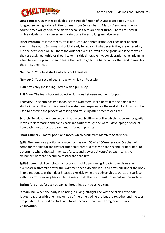

**Long course:** A 50-meter pool. This is the true definition of Olympic-sized pool. Most longcourse racing is done in the summer from September to March. A swimmer's longcourse times will generally be slower because there are fewer turns. There are several online calculators for converting short-course times to long and vice versa.

**Meet Program:** At large meets, officials distribute printed listings for each heat of each event to be swum. Swimmers should already be aware of what events they are entered in, but the heat sheet will tell them the order of events as well as the group and lane to which they are assigned. Athletes should take this this timetable into consideration when planning when to warm up and when to leave the deck to go to the bathroom or the vendor area, lest they miss their heat.

**Number 1**: Your best stroke which is not Freestyle.

**Number 2**: Your second best stroke which is not Freestyle.

**Pull:** Arms only (no kicking), often with a pull buoy

**Pull Buoy:** The foam buoyant object which goes between your legs for pull.

**Recovery:** This term has two meanings for swimmers. It can pertain to the point in the stroke in which the hand is above the water line preparing for the next stroke. It can also be used to describe the process of resting and refueling after practice or a race.

**Scratch:** To withdraw from an event at a meet. **Sculling:** A drill in which the swimmer gently moves their forearms and hands back and forth through the water, developing a sense of how each move affects the swimmer's forward progress.

**Short course:** 25-meter pools and races, which occur from March to September.

**Split:** The time for a portion of a race, such as each 50 of a 100-meter race. Coaches will compare the split for the first (or front half) part of a race with the second (or back half) to determine where the swimmer was fastest and slowest. A *negative split* means the swimmer swam the second half faster than the first.

**Split-Stroke**: a skill completed off every wall while swimming Breaststroke. Arms start overhead in streamline after the swimmer does a dolphin kick, and arms pull under the body in one motion. Legs then do a Breaststroke kick while the body angles towards the surface, with the arms sneaking back up to be ready to do the first Breaststroke pull on the surface.

**Sprint**: All out, as fast as you can go, breathing as little as you can.

**Streamline:** When the body is pointing in a long, straight line with the arms at the ears, locked together with one hand on top of the other, while the legs are together and the toes are pointed. It is used on starts and turns because it minimizes drag or resistance underwater.